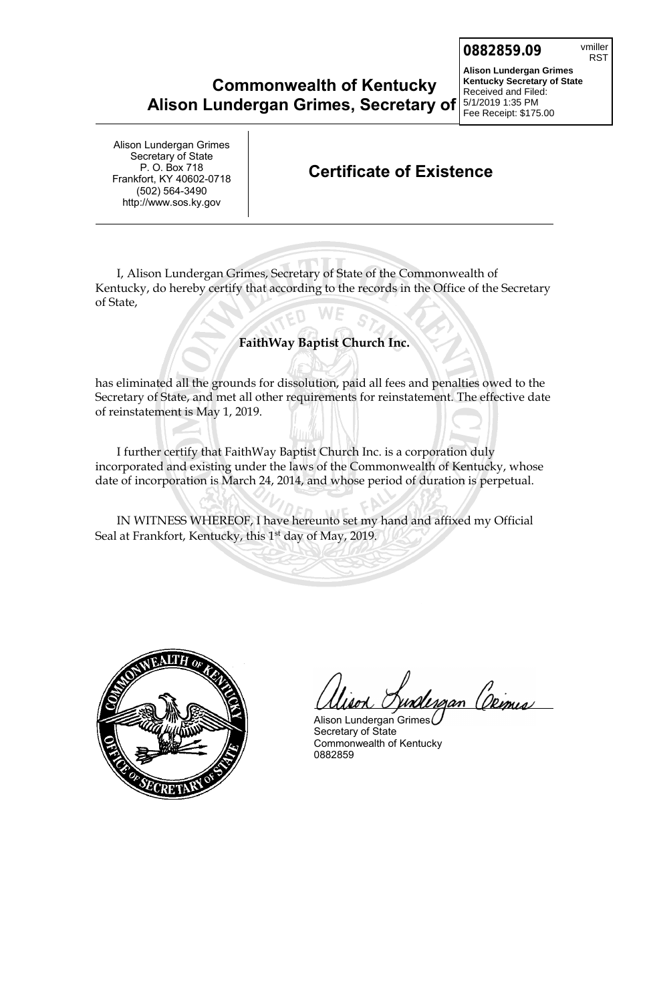## **Commonwealth of Kentucky Alison Lundergan Grimes, Secretary of**

**Alison Lundergan Grimes Kentucky Secretary of State** Received and Filed: 5/1/2019 1:35 PM Fee Receipt: \$175.00

Alison Lundergan Grimes Secretary of State P. O. Box 718 Frankfort, KY 40602-0718 (502) 564-3490 http://www.sos.ky.gov

### **Certificate of Existence**

I, Alison Lundergan Grimes, Secretary of State of the Commonwealth of Kentucky, do hereby certify that according to the records in the Office of the Secretary of State,

#### **FaithWay Baptist Church Inc.**

has eliminated all the grounds for dissolution, paid all fees and penalties owed to the Secretary of State, and met all other requirements for reinstatement. The effective date of reinstatement is May 1, 2019.

I further certify that FaithWay Baptist Church Inc. is a corporation duly incorporated and existing under the laws of the Commonwealth of Kentucky, whose date of incorporation is March 24, 2014, and whose period of duration is perpetual.

IN WITNESS WHEREOF, I have hereunto set my hand and affixed my Official Seal at Frankfort, Kentucky, this 1<sup>st</sup> day of May, 2019.



<u> Urgan (Demis)</u>

Alison Lundergan Grimes Secretary of State Commonwealth of Kentucky 0882859

RST